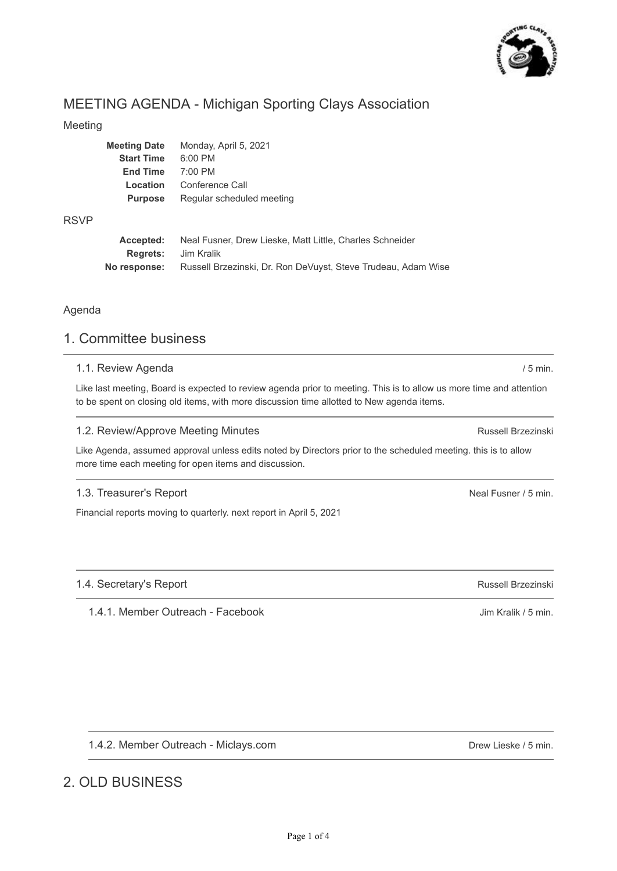

# MEETING AGENDA - Michigan Sporting Clays Association

## Meeting

| Meeting Date      | Monday, April 5, 2021     |
|-------------------|---------------------------|
| <b>Start Time</b> | $6:00$ PM                 |
| <b>End Time</b>   | 7:00 PM                   |
| Location          | Conference Call           |
| <b>Purpose</b>    | Regular scheduled meeting |
|                   |                           |

### RSVP

| Accepted:                  | Neal Fusner, Drew Lieske, Matt Little, Charles Schneider      |
|----------------------------|---------------------------------------------------------------|
| <b>Rearets:</b> Jim Kralik |                                                               |
| No response:               | Russell Brzezinski, Dr. Ron DeVuyst, Steve Trudeau, Adam Wise |

## Agenda

# 1. Committee business

## 1.1. Review Agenda

Like last meeting, Board is expected to review agenda prior to meeting. This is to allow us more time and attention to be spent on closing old items, with more discussion time allotted to New agenda items.

## 1.2. Review/Approve Meeting Minutes

Like Agenda, assumed approval unless edits noted by Directors prior to the scheduled meeting. this is to allow more time each meeting for open items and discussion.

## 1.3. Treasurer's Report

Financial reports moving to quarterly. next report in April 5, 2021

## 1.4. Secretary's Report

1.4.1. Member Outreach - Facebook

1.4.2. Member Outreach - Miclays.com

# 2. OLD BUSINESS

Drew Lieske / 5 min.

Russell Brzezinski

/ 5 min.

Neal Fusner / 5 min.

Russell Brzezinski

Jim Kralik / 5 min.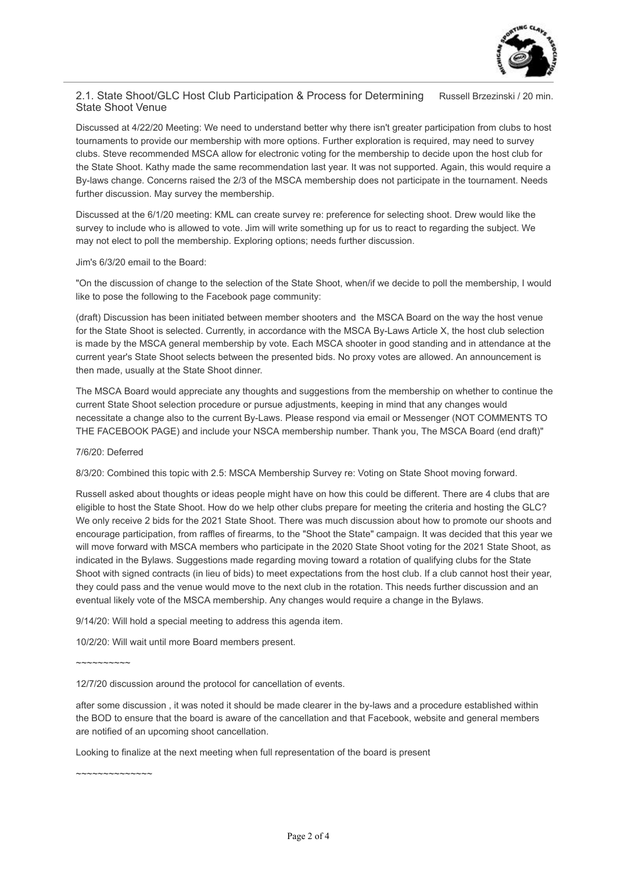

### 2.1. State Shoot/GLC Host Club Participation & Process for Determining Russell Brzezinski / 20 min. State Shoot Venue

Discussed at 4/22/20 Meeting: We need to understand better why there isn't greater participation from clubs to host tournaments to provide our membership with more options. Further exploration is required, may need to survey clubs. Steve recommended MSCA allow for electronic voting for the membership to decide upon the host club for the State Shoot. Kathy made the same recommendation last year. It was not supported. Again, this would require a By-laws change. Concerns raised the 2/3 of the MSCA membership does not participate in the tournament. Needs further discussion. May survey the membership.

Discussed at the 6/1/20 meeting: KML can create survey re: preference for selecting shoot. Drew would like the survey to include who is allowed to vote. Jim will write something up for us to react to regarding the subject. We may not elect to poll the membership. Exploring options; needs further discussion.

#### Jim's 6/3/20 email to the Board:

"On the discussion of change to the selection of the State Shoot, when/if we decide to poll the membership, I would like to pose the following to the Facebook page community:

(draft) Discussion has been initiated between member shooters and the MSCA Board on the way the host venue for the State Shoot is selected. Currently, in accordance with the MSCA By-Laws Article X, the host club selection is made by the MSCA general membership by vote. Each MSCA shooter in good standing and in attendance at the current year's State Shoot selects between the presented bids. No proxy votes are allowed. An announcement is then made, usually at the State Shoot dinner.

The MSCA Board would appreciate any thoughts and suggestions from the membership on whether to continue the current State Shoot selection procedure or pursue adjustments, keeping in mind that any changes would necessitate a change also to the current By-Laws. Please respond via email or Messenger (NOT COMMENTS TO THE FACEBOOK PAGE) and include your NSCA membership number. Thank you, The MSCA Board (end draft)"

#### 7/6/20: Deferred

8/3/20: Combined this topic with 2.5: MSCA Membership Survey re: Voting on State Shoot moving forward.

Russell asked about thoughts or ideas people might have on how this could be different. There are 4 clubs that are eligible to host the State Shoot. How do we help other clubs prepare for meeting the criteria and hosting the GLC? We only receive 2 bids for the 2021 State Shoot. There was much discussion about how to promote our shoots and encourage participation, from raffles of firearms, to the "Shoot the State" campaign. It was decided that this year we will move forward with MSCA members who participate in the 2020 State Shoot voting for the 2021 State Shoot, as indicated in the Bylaws. Suggestions made regarding moving toward a rotation of qualifying clubs for the State Shoot with signed contracts (in lieu of bids) to meet expectations from the host club. If a club cannot host their year, they could pass and the venue would move to the next club in the rotation. This needs further discussion and an eventual likely vote of the MSCA membership. Any changes would require a change in the Bylaws.

9/14/20: Will hold a special meeting to address this agenda item.

10/2/20: Will wait until more Board members present.

~~~~~~~~~~

12/7/20 discussion around the protocol for cancellation of events.

after some discussion , it was noted it should be made clearer in the by-laws and a procedure established within the BOD to ensure that the board is aware of the cancellation and that Facebook, website and general members are notified of an upcoming shoot cancellation.

Looking to finalize at the next meeting when full representation of the board is present

~~~~~~~~~~~~~~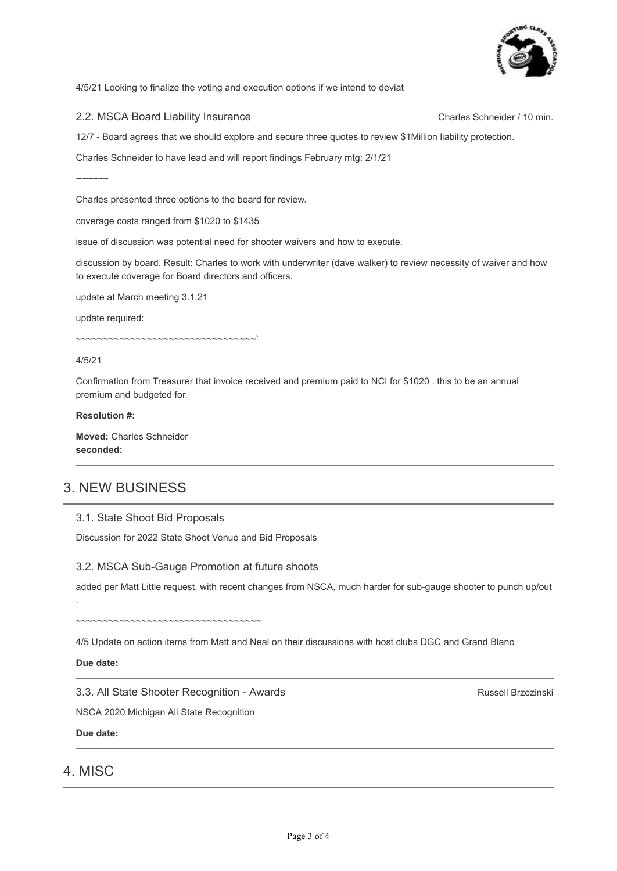

4/5/21 Looking to finalize the voting and execution options if we intend to deviat

#### 2.2. MSCA Board Liability Insurance

Charles Schneider / 10 min.

12/7 - Board agrees that we should explore and secure three quotes to review \$1Million liability protection.

Charles Schneider to have lead and will report findings February mtg: 2/1/21

 $\sim$  $\sim$  $\sim$  $\sim$  $\sim$ 

Charles presented three options to the board for review.

coverage costs ranged from \$1020 to \$1435

issue of discussion was potential need for shooter waivers and how to execute.

discussion by board. Result: Charles to work with underwriter (dave walker) to review necessity of waiver and how to execute coverage for Board directors and officers.

update at March meeting 3.1.21

update required:

~~~~~~~~~~~~~~~~~~~~~~~~~~~~~~~~~`

4/5/21

Confirmation from Treasurer that invoice received and premium paid to NCI for \$1020 . this to be an annual premium and budgeted for.

#### **Resolution #:**

**Moved:** Charles Schneider **seconded:**

# 3. NEW BUSINESS

#### 3.1. State Shoot Bid Proposals

Discussion for 2022 State Shoot Venue and Bid Proposals

#### 3.2. MSCA Sub-Gauge Promotion at future shoots

added per Matt Little request. with recent changes from NSCA, much harder for sub-gauge shooter to punch up/out

4/5 Update on action items from Matt and Neal on their discussions with host clubs DGC and Grand Blanc

**Due date:**

.

3.3. All State Shooter Recognition - Awards

NSCA 2020 Michigan All State Recognition

~~~~~~~~~~~~~~~~~~~~~~~~~~~~~~~~~

**Due date:**

## 4. MISC

Russell Brzezinski